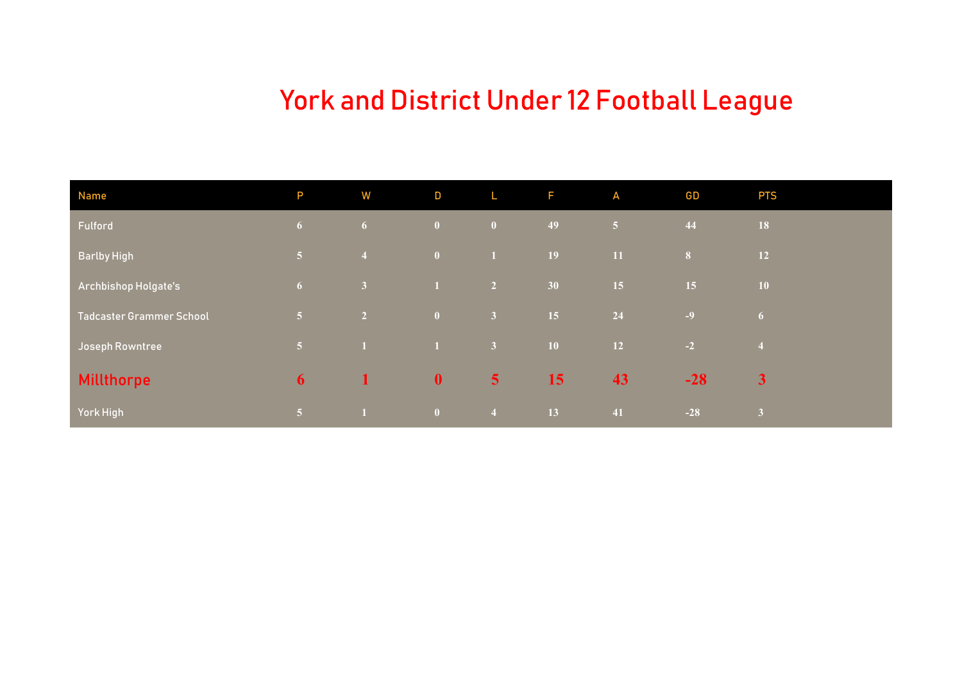# York and District Under 12 Football League

| <b>Name</b>                     | P               | W                       | D               | L                       | F.        | A         | <b>GD</b>      | <b>PTS</b>     |
|---------------------------------|-----------------|-------------------------|-----------------|-------------------------|-----------|-----------|----------------|----------------|
| Fulford                         | 6 <sup>1</sup>  | 6 <sup>1</sup>          | $\mathbf{0}$    | $\overline{\mathbf{0}}$ | 49        | 151       | 44             | <b>18</b>      |
| <b>Barlby High</b>              | 5 <sup>1</sup>  | $\overline{4}$          | $\mathbf{0}$    | $\blacksquare$          | <b>19</b> | <b>11</b> | 8 <sup>1</sup> | <b>12</b>      |
| Archbishop Holgate's            | 6 <sup>1</sup>  | $\overline{\mathbf{3}}$ | $\mathbf{1}$    | $\overline{2}$          | 30        | 15        | 15             | 10             |
| <b>Tadcaster Grammer School</b> | $\sqrt{5}$      | $\overline{2}$          | $\mathbf{0}$    | $\overline{\mathbf{3}}$ | 15        | 24        | $-9$           | 6 <sup>6</sup> |
| <b>Joseph Rowntree</b>          | 5 <sup>1</sup>  | $\vert 1 \vert$         | $\vert 1 \vert$ | $\overline{\mathbf{3}}$ | <b>10</b> | <b>12</b> | $-2$           | $\overline{4}$ |
| <b>Millthorpe</b>               | 6               | $\mathbf{1}$            | $\mathbf{0}$    | $\overline{\mathbf{5}}$ | 15        | 43        | $-28$          | $\mathbf{3}$   |
| York High                       | $\vert 5 \vert$ |                         | $\theta$        | $\overline{4}$          | 13        | 41        | $-28$          | $\overline{3}$ |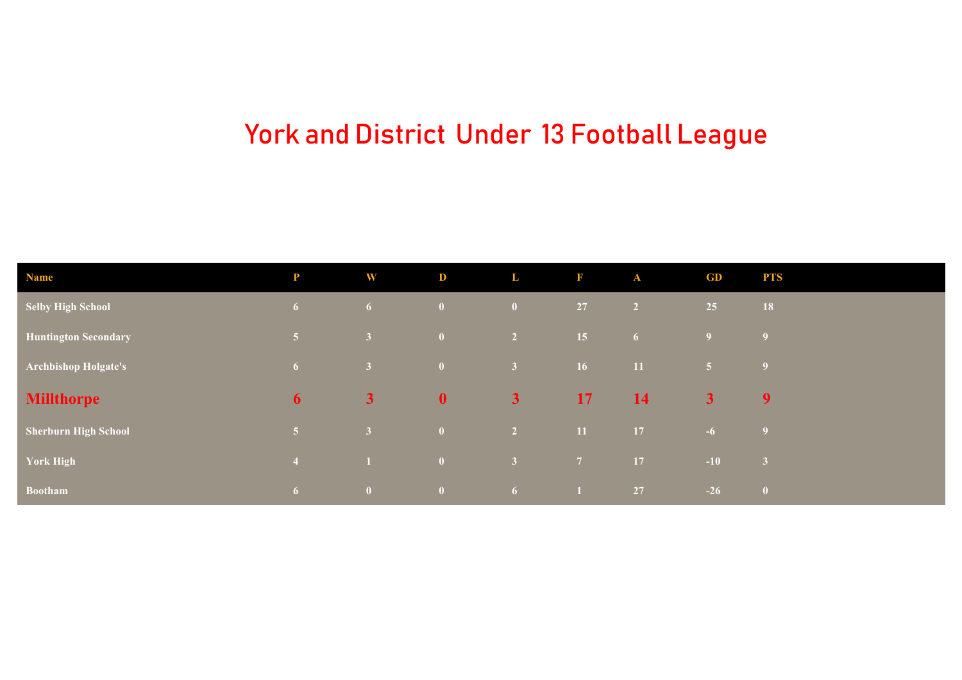# York and District Under 13 Football League

| <b>Name</b>                 | P              | W                       | D            | L              | F              | $\mathbf{A}$   | GD             | <b>PTS</b>               |
|-----------------------------|----------------|-------------------------|--------------|----------------|----------------|----------------|----------------|--------------------------|
| <b>Selby High School</b>    | 6 <sup>1</sup> | 6 <sup>1</sup>          | $\mathbf{0}$ | $\bullet$      | 27             | $\overline{2}$ | 25             | 18                       |
| <b>Huntington Secondary</b> | $\sqrt{5/2}$   | $\vert 3 \vert$         | $\mathbf{0}$ | $\overline{2}$ | 15             | 6 <sup>1</sup> | 9 <sup>°</sup> | $\overline{9}$           |
| <b>Archbishop Holgate's</b> | 6 <sup>1</sup> | $\sqrt{3}$              | $\mathbf{0}$ | 3 <sup>°</sup> | 16             | $-11$          | 5 <sup>1</sup> | $\overline{\phantom{a}}$ |
| <b>Millthorpe</b>           | 6              | 3 <sub>l</sub>          | $\mathbf{0}$ | 3 <sup>1</sup> | 17             | 14             | 3 <sup>1</sup> | $\overline{9}$           |
| <b>Sherburn High School</b> | $\sqrt{5}$     | 3 <sup>1</sup>          | $\mathbf{0}$ | $\overline{2}$ | $11$           | 17             | $-6$           | $\overline{9}$           |
| <b>York High</b>            | $\overline{4}$ | $\blacksquare$          | $\mathbf{0}$ | 3 <sup>°</sup> | 7 <sup>7</sup> | 17             | $-10$          | $\overline{\mathbf{3}}$  |
| <b>Bootham</b>              | 6              | $\overline{\mathbf{0}}$ | $\mathbf{0}$ | 6 <sup>1</sup> | $\blacksquare$ | 27             | $-26$          | $\overline{\mathbf{0}}$  |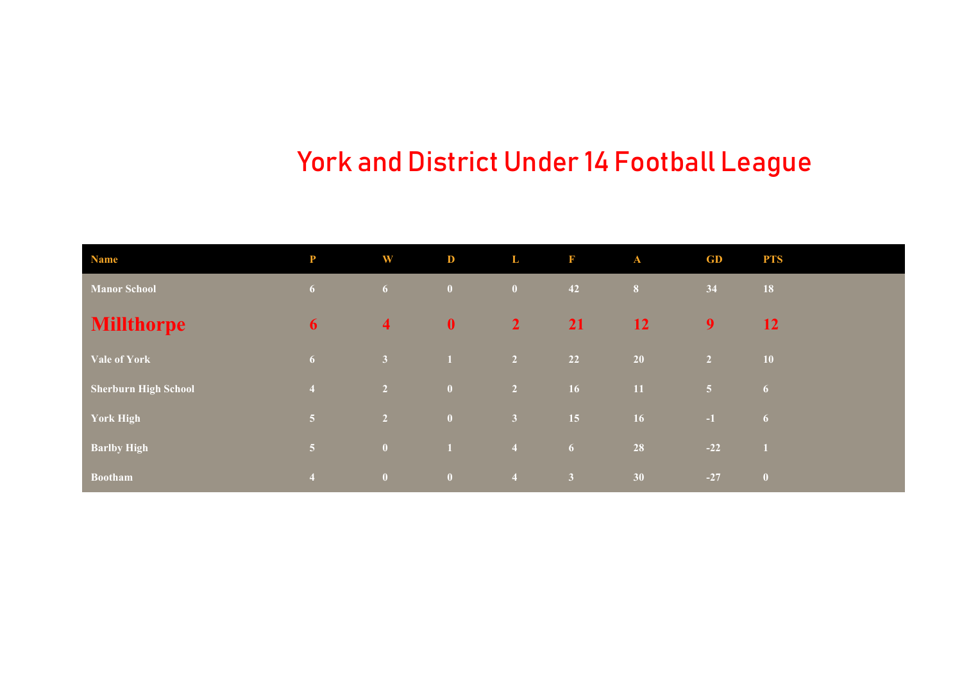## York and District Under 14 Football League

| <b>Name</b>                 | P              | W                       | D                       | L              | F              | $\mathbf{A}$   | GD             | <b>PTS</b>     |
|-----------------------------|----------------|-------------------------|-------------------------|----------------|----------------|----------------|----------------|----------------|
| <b>Manor School</b>         | 6 <sup>1</sup> | 6 <sup>1</sup>          | $\mathbf{0}$            | $\mathbf{0}$   | 42             | 8 <sup>1</sup> | 34             | 18             |
| <b>Millthorpe</b>           | 6              | $\overline{\mathbf{4}}$ | $\mathbf{0}$            | $\overline{2}$ | <b>21</b>      | <b>12</b>      | 9              | <b>12</b>      |
| <b>Vale of York</b>         | 6              | 3 <sup>1</sup>          | $\vert 1 \vert$         | 2 <sup>7</sup> | 22             | <b>20</b>      | $\overline{2}$ | ${\bf 10}$     |
| <b>Sherburn High School</b> | $\overline{4}$ | $\overline{2}$          | $\mathbf{0}$            | $\overline{2}$ | 16             | 11             | 5 <sup>1</sup> | 6 <sup>1</sup> |
| <b>York High</b>            | 5 <sup>1</sup> | $\overline{2}$          | $\overline{\mathbf{0}}$ | $\sqrt{3}$     | 15             | 16             | $-1$           | $\sqrt{6}$     |
| <b>Barlby High</b>          | $\overline{5}$ | $\overline{\mathbf{0}}$ | $\blacksquare$          | $\overline{4}$ | 6 <sup>1</sup> | 28             | $-22$          |                |
| <b>Bootham</b>              | $\overline{4}$ | $\overline{\mathbf{0}}$ | $\overline{\mathbf{0}}$ | $\overline{4}$ | 3 <sup>1</sup> | 30             | $-27$          | $\mathbf{0}$   |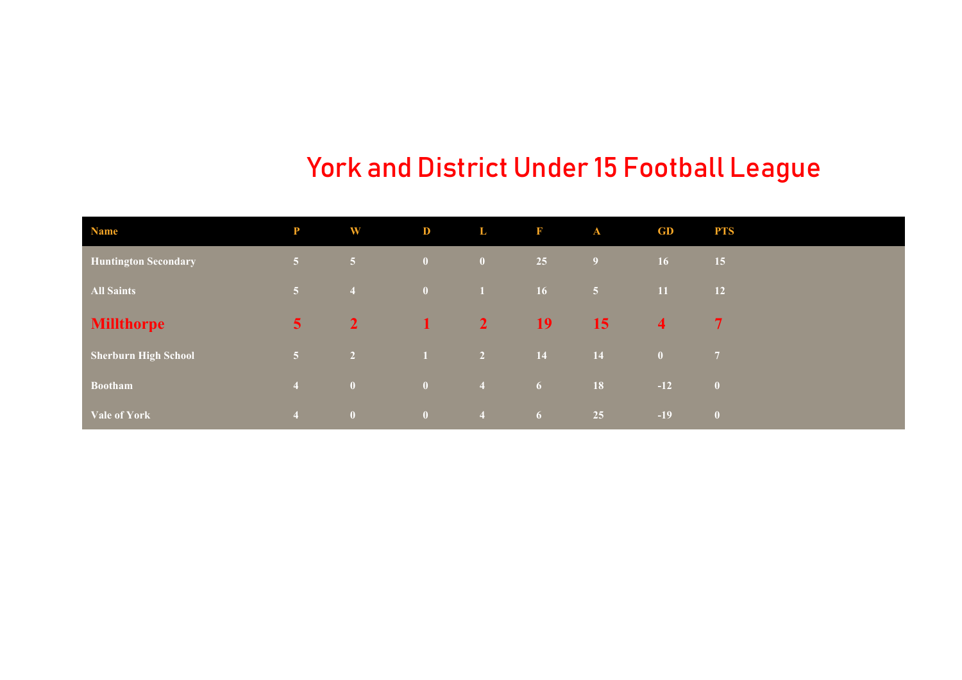### York and District Under 15 Football League

| <b>Name</b>                 | P              | <b>W</b>                | D            | L              | $\mathbf{F}$   | $\mathbf{A}$ | GD                      | <b>PTS</b>              |
|-----------------------------|----------------|-------------------------|--------------|----------------|----------------|--------------|-------------------------|-------------------------|
| <b>Huntington Secondary</b> | 5 <sup>1</sup> | 5 <sup>1</sup>          | $\bullet$    | $\mathbf{0}$   | 25             | 9            | 16 <sup>°</sup>         | 15                      |
| <b>All Saints</b>           | 5 <sup>1</sup> | $\overline{4}$          | $\bullet$    | T              | <b>16</b>      | $\sqrt{5}$   | 11                      | 12                      |
| <b>Millthorpe</b>           | 5 <sup>1</sup> | $\overline{2}$          | $\mathbf{1}$ | $\overline{2}$ | <b>19</b>      | 15           | $\overline{\mathbf{4}}$ | $\sqrt{7}$              |
| <b>Sherburn High School</b> | 5 <sup>1</sup> | $\overline{2}$          | 1            | $\overline{2}$ | <b>14</b>      | 14           | /0/                     | $\overline{7}$          |
| <b>Bootham</b>              | $\overline{4}$ | $\bullet$               | $\bullet$    | $\overline{4}$ | 6 <sup>1</sup> | 18           | $-12$                   | $\overline{\mathbf{0}}$ |
| <b>Vale of York</b>         | $\overline{4}$ | $\overline{\mathbf{0}}$ | $\mathbf{0}$ | $\sqrt{4}$     | 6 <sup>1</sup> | 25           | $-19$                   | $\overline{0}$          |